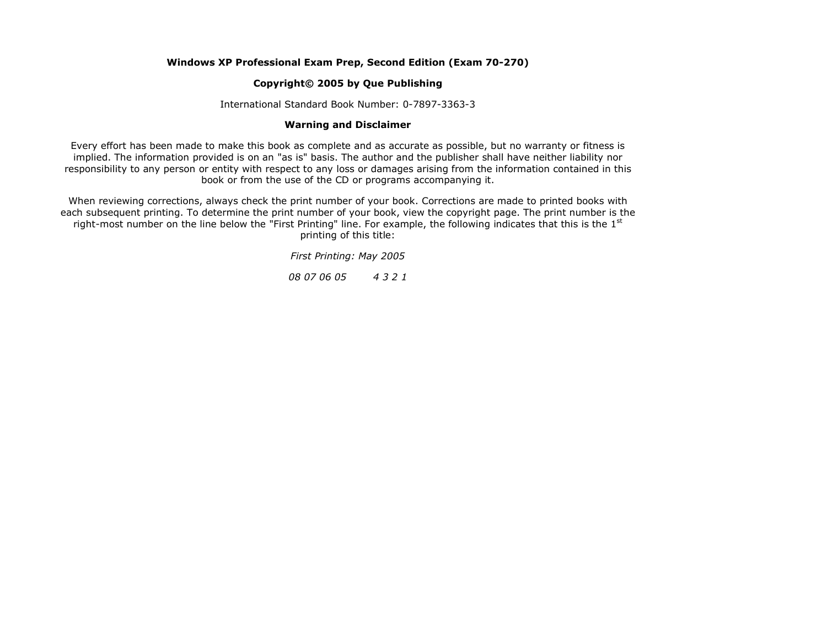# **Windows XP Professional Exam Prep, Second Edition (Exam 70-270)**

# **Copyright© 2005 by Que Publishing**

International Standard Book Number: 0-7897-3363-3

## **Warning and Disclaimer**

Every effort has been made to make this book as complete and as accurate as possible, but no warranty or fitness is implied. The information provided is on an "as is" basis. The author and the publisher shall have neither liability nor responsibility to any person or entity with respect to any loss or damages arising from the information contained in this book or from the use of the CD or programs accompanying it.

When reviewing corrections, always check the print number of your book. Corrections are made to printed books with each subsequent printing. To determine the print number of your book, view the copyright page. The print number is the right-most number on the line below the "First Printing" line. For example, the following indicates that this is the  $1<sup>st</sup>$ printing of this title:

*First Printing: May 2005*

*08 07 06 05 4 3 2 1*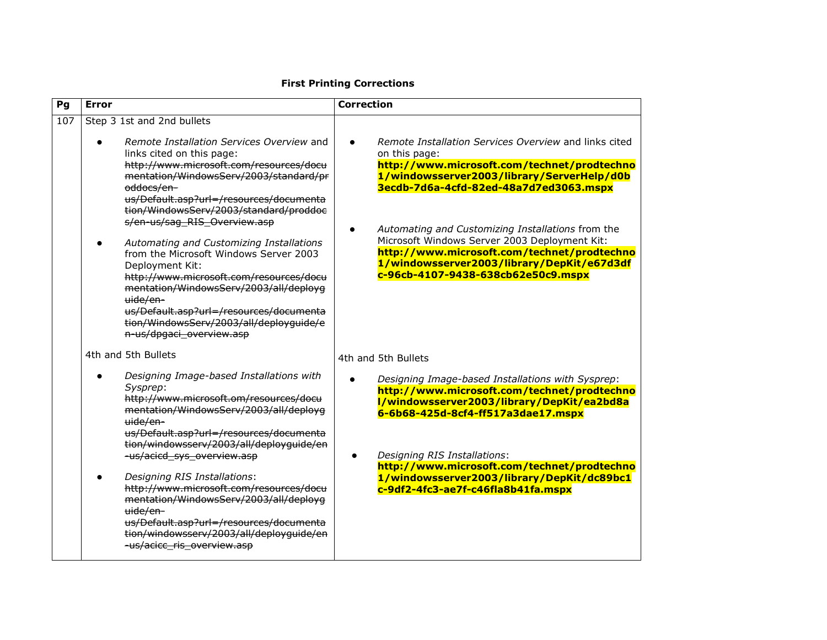#### **Pg Error Correction** 107 Step 3 1st and 2nd bullets *Remote Installation Services Overview* and links cited on this page: http://www.microsoft.com/resources/docu mentation/WindowsServ/2003/standard/pr oddocs/enus/Default.asp?url=/resources/documenta tion/WindowsServ/2003/standard/proddoc s/en-us/sag\_RIS\_Overview.asp *Automating and Customizing Installations* from the Microsoft Windows Server 2003 Deployment Kit: http://www.microsoft.com/resources/docu mentation/WindowsServ/2003/all/deployg uide/enus/Default.asp?url=/resources/documenta tion/WindowsServ/2003/all/deployguide/e n-us/dpgaci\_overview.asp 4th and 5th Bullets *Designing Image-based Installations with Sysprep*: http://www.microsoft.om/resources/docu mentation/WindowsServ/2003/all/deployg uide/enus/Default.asp?url=/resources/documenta tion/windowsserv/2003/all/deployguide/en -us/acicd\_sys\_overview.asp *Designing RIS Installations*: http://www.microsoft.com/resources/docu mentation/WindowsServ/2003/all/deployg uide/enus/Default.asp?url=/resources/documenta tion/windowsserv/2003/all/deployguide/en -us/acicc\_ris\_overview.asp *Remote Installation Services Overview* and links cited on this page: **http://www.microsoft.com/technet/prodtechno 1/windowsserver2003/library/ServerHelp/d0b 3ecdb-7d6a-4cfd-82ed-48a7d7ed3063.mspx** *Automating and Customizing Installations* from the Microsoft Windows Server 2003 Deployment Kit: **http://www.microsoft.com/technet/prodtechno 1/windowsserver2003/library/DepKit/e67d3df c-96cb-4107-9438-638cb62e50c9.mspx** 4th and 5th Bullets *Designing Image-based Installations with Sysprep*: **http://www.microsoft.com/technet/prodtechno l/windowsserver2003/library/DepKit/ea2bd8a 6-6b68-425d-8cf4-ff517a3dae17.mspx** *Designing RIS Installations*: **http://www.microsoft.com/technet/prodtechno 1/windowsserver2003/library/DepKit/dc89bc1 c-9df2-4fc3-ae7f-c46fla8b41fa.mspx**

### **First Printing Corrections**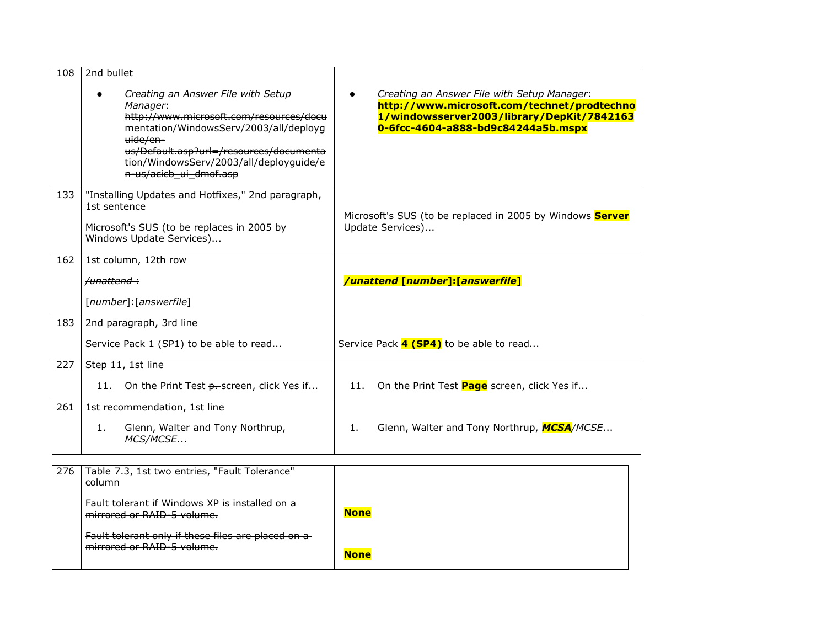| 108 | 2nd bullet                                                                                                                                                                                                                                                      |                                                                                                                                                                                |
|-----|-----------------------------------------------------------------------------------------------------------------------------------------------------------------------------------------------------------------------------------------------------------------|--------------------------------------------------------------------------------------------------------------------------------------------------------------------------------|
|     | Creating an Answer File with Setup<br>Manager:<br>http://www.microsoft.com/resources/docu<br>mentation/WindowsServ/2003/all/deployg<br>uide/en-<br>us/Default.asp?url=/resources/documenta<br>tion/WindowsServ/2003/all/deployquide/e<br>n-us/acicb_ui_dmof.asp | Creating an Answer File with Setup Manager:<br>http://www.microsoft.com/technet/prodtechno<br>1/windowsserver2003/library/DepKit/7842163<br>0-6fcc-4604-a888-bd9c84244a5b.mspx |
| 133 | "Installing Updates and Hotfixes," 2nd paragraph,<br>1st sentence<br>Microsoft's SUS (to be replaces in 2005 by<br>Windows Update Services)                                                                                                                     | Microsoft's SUS (to be replaced in 2005 by Windows Server<br>Update Services)                                                                                                  |
| 162 | 1st column, 12th row                                                                                                                                                                                                                                            |                                                                                                                                                                                |
|     | <del>/unattend :</del>                                                                                                                                                                                                                                          | /unattend [number]:[answerfile]                                                                                                                                                |
|     | [number]:[answerfile]                                                                                                                                                                                                                                           |                                                                                                                                                                                |
| 183 | 2nd paragraph, 3rd line                                                                                                                                                                                                                                         |                                                                                                                                                                                |
|     | Service Pack 1 (SP1) to be able to read                                                                                                                                                                                                                         | Service Pack 4 (SP4) to be able to read                                                                                                                                        |
| 227 | Step 11, 1st line                                                                                                                                                                                                                                               |                                                                                                                                                                                |
|     | 11.<br>On the Print Test <del>p. s</del> creen, click Yes if                                                                                                                                                                                                    | On the Print Test <b>Page</b> screen, click Yes if<br>11.                                                                                                                      |
| 261 | 1st recommendation, 1st line                                                                                                                                                                                                                                    |                                                                                                                                                                                |
|     | Glenn, Walter and Tony Northrup,<br>1.<br><b>MCS/MCSE</b>                                                                                                                                                                                                       | Glenn, Walter and Tony Northrup, MCSA/MCSE<br>1.                                                                                                                               |

| 276 l | Table 7.3, 1st two entries, "Fault Tolerance"<br>column                          |             |
|-------|----------------------------------------------------------------------------------|-------------|
|       | Fault tolerant if Windows XP is installed on a<br>mirrored or RAID-5 volume.     | <b>None</b> |
|       | Fault tolerant only if these files are placed on a<br>mirrored or RAID-5 volume. | <b>None</b> |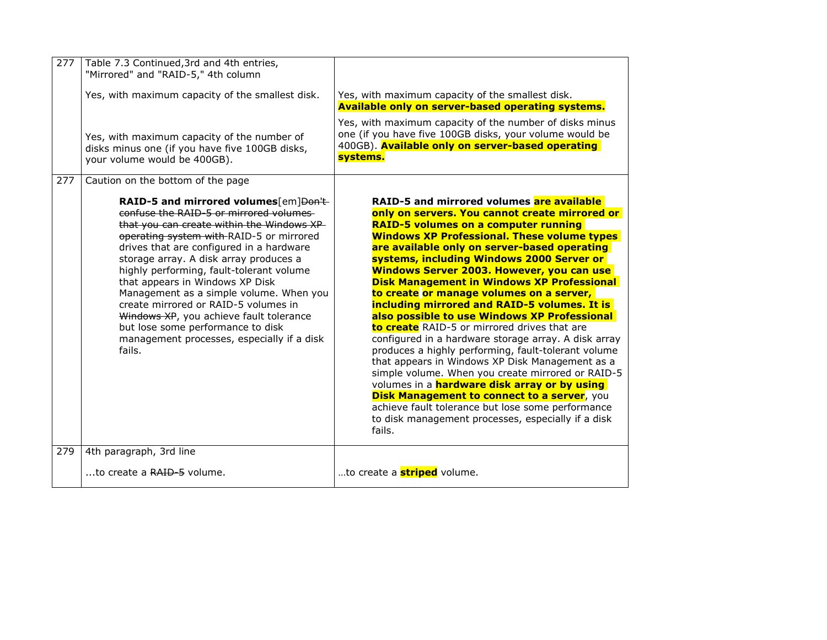| 277 | Table 7.3 Continued, 3rd and 4th entries,<br>"Mirrored" and "RAID-5," 4th column<br>Yes, with maximum capacity of the smallest disk.<br>Yes, with maximum capacity of the number of<br>disks minus one (if you have five 100GB disks,<br>your volume would be 400GB).                                                                                                                                                                                                                                                                                                                                         | Yes, with maximum capacity of the smallest disk.<br><b>Available only on server-based operating systems.</b><br>Yes, with maximum capacity of the number of disks minus<br>one (if you have five 100GB disks, your volume would be<br>400GB). Available only on server-based operating<br>systems.                                                                                                                                                                                                                                                                                                                                                                                                                                                                                                                                                                                                                                                                                                                                                   |
|-----|---------------------------------------------------------------------------------------------------------------------------------------------------------------------------------------------------------------------------------------------------------------------------------------------------------------------------------------------------------------------------------------------------------------------------------------------------------------------------------------------------------------------------------------------------------------------------------------------------------------|------------------------------------------------------------------------------------------------------------------------------------------------------------------------------------------------------------------------------------------------------------------------------------------------------------------------------------------------------------------------------------------------------------------------------------------------------------------------------------------------------------------------------------------------------------------------------------------------------------------------------------------------------------------------------------------------------------------------------------------------------------------------------------------------------------------------------------------------------------------------------------------------------------------------------------------------------------------------------------------------------------------------------------------------------|
| 277 | Caution on the bottom of the page<br>RAID-5 and mirrored volumes[em]Don't-<br>confuse the RAID-5 or mirrored volumes<br>that you can create within the Windows XP<br>operating system with RAID-5 or mirrored<br>drives that are configured in a hardware<br>storage array. A disk array produces a<br>highly performing, fault-tolerant volume<br>that appears in Windows XP Disk<br>Management as a simple volume. When you<br>create mirrored or RAID-5 volumes in<br>Windows XP, you achieve fault tolerance<br>but lose some performance to disk<br>management processes, especially if a disk<br>fails. | RAID-5 and mirrored volumes are available<br>only on servers. You cannot create mirrored or<br><b>RAID-5 volumes on a computer running</b><br><b>Windows XP Professional. These volume types</b><br>are available only on server-based operating<br>systems, including Windows 2000 Server or<br>Windows Server 2003. However, you can use<br><b>Disk Management in Windows XP Professional</b><br>to create or manage volumes on a server,<br>including mirrored and RAID-5 volumes. It is<br>also possible to use Windows XP Professional<br>to create RAID-5 or mirrored drives that are<br>configured in a hardware storage array. A disk array<br>produces a highly performing, fault-tolerant volume<br>that appears in Windows XP Disk Management as a<br>simple volume. When you create mirrored or RAID-5<br>volumes in a <b>hardware disk array or by using</b><br><b>Disk Management to connect to a server, you</b><br>achieve fault tolerance but lose some performance<br>to disk management processes, especially if a disk<br>fails. |
| 279 | 4th paragraph, 3rd line                                                                                                                                                                                                                                                                                                                                                                                                                                                                                                                                                                                       |                                                                                                                                                                                                                                                                                                                                                                                                                                                                                                                                                                                                                                                                                                                                                                                                                                                                                                                                                                                                                                                      |
|     | to create a RAID-5 volume.                                                                                                                                                                                                                                                                                                                                                                                                                                                                                                                                                                                    | to create a <b>striped</b> volume.                                                                                                                                                                                                                                                                                                                                                                                                                                                                                                                                                                                                                                                                                                                                                                                                                                                                                                                                                                                                                   |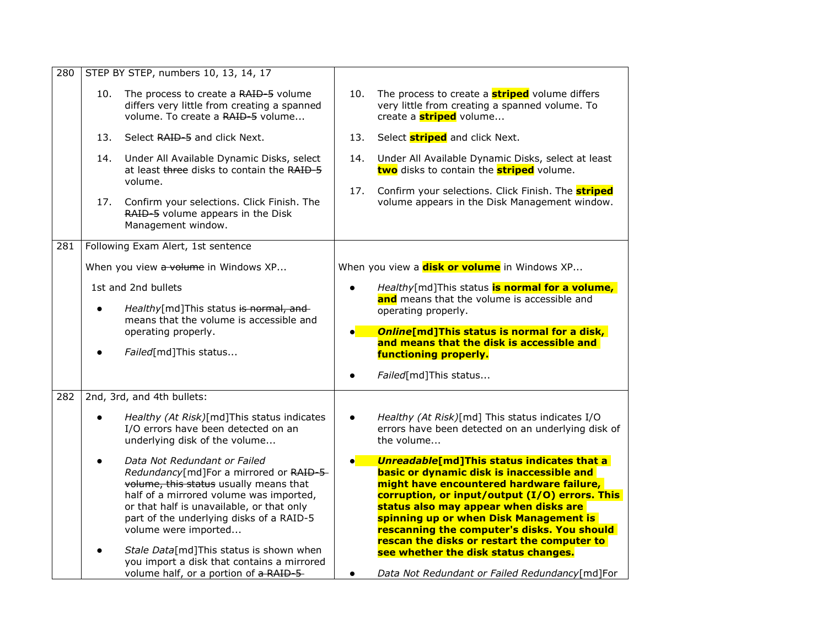| 280 | STEP BY STEP, numbers 10, 13, 14, 17                                                                                                                                                                                                                                                                                                                                                                            |                                                                                                                                                                                                                                                                                                                                                                                                                                                                                      |
|-----|-----------------------------------------------------------------------------------------------------------------------------------------------------------------------------------------------------------------------------------------------------------------------------------------------------------------------------------------------------------------------------------------------------------------|--------------------------------------------------------------------------------------------------------------------------------------------------------------------------------------------------------------------------------------------------------------------------------------------------------------------------------------------------------------------------------------------------------------------------------------------------------------------------------------|
|     | 10.<br>The process to create a RAID-5 volume<br>differs very little from creating a spanned<br>volume. To create a RAID-5 volume                                                                                                                                                                                                                                                                                | 10.<br>The process to create a <b>striped</b> volume differs<br>very little from creating a spanned volume. To<br>create a <b>striped</b> volume                                                                                                                                                                                                                                                                                                                                     |
|     | 13.<br>Select RAID-5 and click Next.                                                                                                                                                                                                                                                                                                                                                                            | Select <b>striped</b> and click Next.<br>13.                                                                                                                                                                                                                                                                                                                                                                                                                                         |
|     | 14.<br>Under All Available Dynamic Disks, select<br>at least three disks to contain the RAID-5<br>volume.                                                                                                                                                                                                                                                                                                       | Under All Available Dynamic Disks, select at least<br>14.<br>two disks to contain the <b>striped</b> volume.                                                                                                                                                                                                                                                                                                                                                                         |
|     | Confirm your selections. Click Finish. The<br>17.<br>RAID-5 volume appears in the Disk<br>Management window.                                                                                                                                                                                                                                                                                                    | Confirm your selections. Click Finish. The striped<br>17.<br>volume appears in the Disk Management window.                                                                                                                                                                                                                                                                                                                                                                           |
| 281 | Following Exam Alert, 1st sentence                                                                                                                                                                                                                                                                                                                                                                              |                                                                                                                                                                                                                                                                                                                                                                                                                                                                                      |
|     | When you view a volume in Windows XP                                                                                                                                                                                                                                                                                                                                                                            | When you view a <b>disk or volume</b> in Windows XP                                                                                                                                                                                                                                                                                                                                                                                                                                  |
|     | 1st and 2nd bullets<br>Healthy[md]This status is normal, and<br>means that the volume is accessible and<br>operating properly.<br>Failed[md]This status                                                                                                                                                                                                                                                         | Healthy[md]This status is normal for a volume,<br>and means that the volume is accessible and<br>operating properly.<br>Online[md]This status is normal for a disk,<br>$\bullet$ $\blacksquare$<br>and means that the disk is accessible and<br>functioning properly.<br>Failed[md]This status                                                                                                                                                                                       |
| 282 | 2nd, 3rd, and 4th bullets:                                                                                                                                                                                                                                                                                                                                                                                      |                                                                                                                                                                                                                                                                                                                                                                                                                                                                                      |
|     | Healthy (At Risk)[md]This status indicates<br>I/O errors have been detected on an<br>underlying disk of the volume                                                                                                                                                                                                                                                                                              | Healthy (At Risk)[md] This status indicates I/O<br>$\bullet$<br>errors have been detected on an underlying disk of<br>the volume                                                                                                                                                                                                                                                                                                                                                     |
|     | Data Not Redundant or Failed<br>Redundancy[md]For a mirrored or RAID-5-<br>volume, this status usually means that<br>half of a mirrored volume was imported,<br>or that half is unavailable, or that only<br>part of the underlying disks of a RAID-5<br>volume were imported<br>Stale Data[md]This status is shown when<br>you import a disk that contains a mirrored<br>volume half, or a portion of a RAID-5 | <b>Unreadable[md]This status indicates that a</b><br>basic or dynamic disk is inaccessible and<br>might have encountered hardware failure,<br>corruption, or input/output (I/O) errors. This<br>status also may appear when disks are<br>spinning up or when Disk Management is<br>rescanning the computer's disks. You should<br>rescan the disks or restart the computer to<br>see whether the disk status changes.<br>Data Not Redundant or Failed Redundancy[md]For<br>$\bullet$ |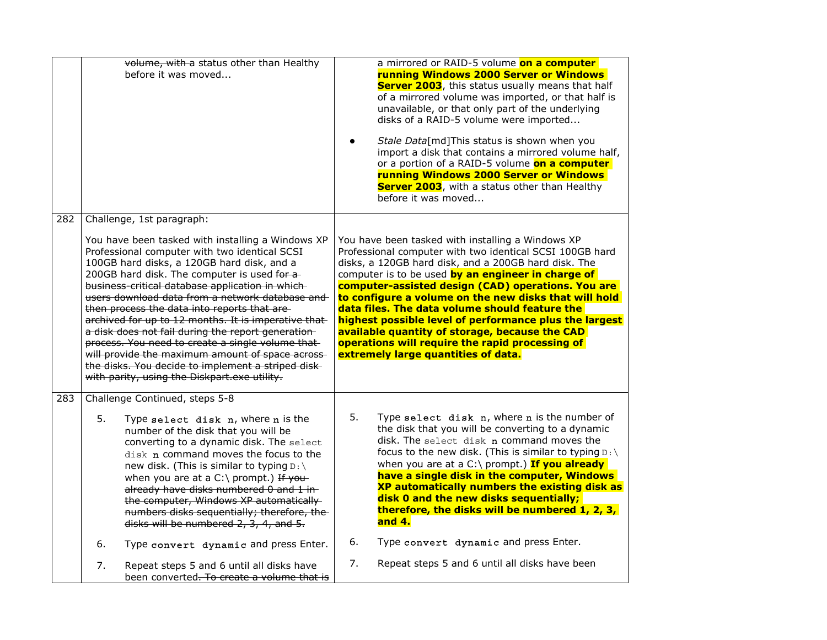|     |    | volume, with a status other than Healthy<br>before it was moved                                                                                                                                                                                                                                                                                                                                                                                                                                                                                                                                                                                                                      |    | a mirrored or RAID-5 volume on a computer<br>running Windows 2000 Server or Windows<br>Server 2003, this status usually means that half<br>of a mirrored volume was imported, or that half is<br>unavailable, or that only part of the underlying<br>disks of a RAID-5 volume were imported<br>Stale Data[md]This status is shown when you<br>import a disk that contains a mirrored volume half,<br>or a portion of a RAID-5 volume on a computer<br>running Windows 2000 Server or Windows<br><b>Server 2003</b> , with a status other than Healthy<br>before it was moved                       |
|-----|----|--------------------------------------------------------------------------------------------------------------------------------------------------------------------------------------------------------------------------------------------------------------------------------------------------------------------------------------------------------------------------------------------------------------------------------------------------------------------------------------------------------------------------------------------------------------------------------------------------------------------------------------------------------------------------------------|----|----------------------------------------------------------------------------------------------------------------------------------------------------------------------------------------------------------------------------------------------------------------------------------------------------------------------------------------------------------------------------------------------------------------------------------------------------------------------------------------------------------------------------------------------------------------------------------------------------|
| 282 |    | Challenge, 1st paragraph:                                                                                                                                                                                                                                                                                                                                                                                                                                                                                                                                                                                                                                                            |    |                                                                                                                                                                                                                                                                                                                                                                                                                                                                                                                                                                                                    |
|     |    | You have been tasked with installing a Windows XP<br>Professional computer with two identical SCSI<br>100GB hard disks, a 120GB hard disk, and a<br>200GB hard disk. The computer is used for a-<br>business-critical database application in which-<br>users download data from a network database and<br>then process the data into reports that are-<br>archived for up to 12 months. It is imperative that-<br>a disk does not fail during the report generation-<br>process. You need to create a single volume that-<br>will provide the maximum amount of space across-<br>the disks. You decide to implement a striped disk-<br>with parity, using the Diskpart.exe utility. |    | You have been tasked with installing a Windows XP<br>Professional computer with two identical SCSI 100GB hard<br>disks, a 120GB hard disk, and a 200GB hard disk. The<br>computer is to be used by an engineer in charge of<br>computer-assisted design (CAD) operations. You are<br>to configure a volume on the new disks that will hold<br>data files. The data volume should feature the<br>highest possible level of performance plus the largest<br>available quantity of storage, because the CAD<br>operations will require the rapid processing of<br>extremely large quantities of data. |
| 283 |    | Challenge Continued, steps 5-8                                                                                                                                                                                                                                                                                                                                                                                                                                                                                                                                                                                                                                                       |    |                                                                                                                                                                                                                                                                                                                                                                                                                                                                                                                                                                                                    |
|     | 5. | Type select disk n, where n is the<br>number of the disk that you will be<br>converting to a dynamic disk. The select<br>disk n command moves the focus to the<br>new disk. (This is similar to typing $D:\ A$<br>when you are at a C:\ prompt.) If you-<br>already have disks numbered 0 and 1 in-<br>the computer, Windows XP automatically<br>numbers disks sequentially; therefore, the-<br>disks will be numbered 2, 3, 4, and 5.                                                                                                                                                                                                                                               | 5. | Type select disk n, where n is the number of<br>the disk that you will be converting to a dynamic<br>disk. The select disk n command moves the<br>focus to the new disk. (This is similar to typing $D:\ A$<br>when you are at a C:\ prompt.) If you already<br>have a single disk in the computer, Windows<br>XP automatically numbers the existing disk as<br>disk 0 and the new disks sequentially;<br>therefore, the disks will be numbered 1, 2, 3,<br>and 4.                                                                                                                                 |
|     | 6. | Type convert dynamic and press Enter.                                                                                                                                                                                                                                                                                                                                                                                                                                                                                                                                                                                                                                                | 6. | Type convert dynamic and press Enter.                                                                                                                                                                                                                                                                                                                                                                                                                                                                                                                                                              |
|     | 7. | Repeat steps 5 and 6 until all disks have<br>been converted. To create a volume that is                                                                                                                                                                                                                                                                                                                                                                                                                                                                                                                                                                                              | 7. | Repeat steps 5 and 6 until all disks have been                                                                                                                                                                                                                                                                                                                                                                                                                                                                                                                                                     |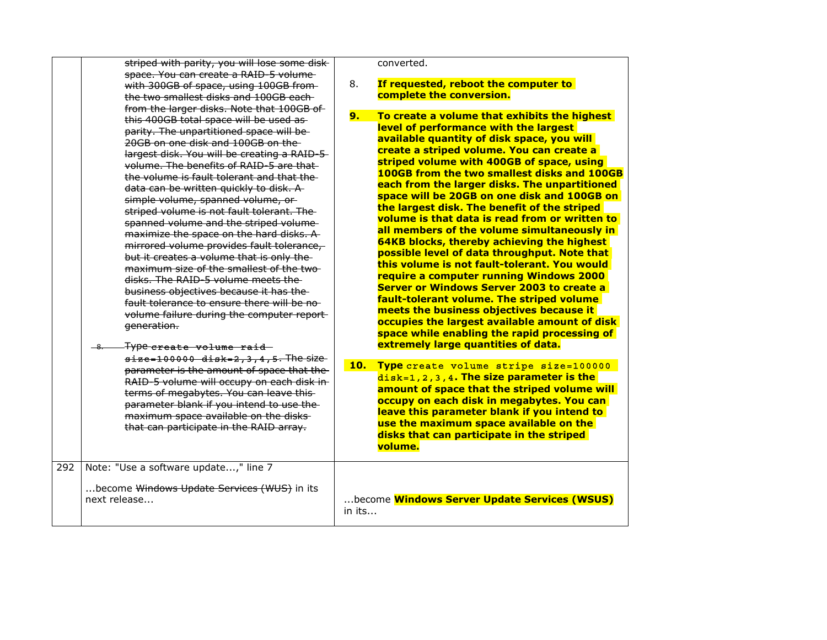|     | striped with parity, you will lose some disk-                                                                                                                                                                                                                                                                                                                                                                                                                                                                                                                                                                                                                                                                                                                                                                                                                                                       |        | converted.                                                                                                                                                                                                                                                                                                                                                                                                                                                                                                                                                                                                                                                                                                                                                                                                                                                                                                                                                                                                         |
|-----|-----------------------------------------------------------------------------------------------------------------------------------------------------------------------------------------------------------------------------------------------------------------------------------------------------------------------------------------------------------------------------------------------------------------------------------------------------------------------------------------------------------------------------------------------------------------------------------------------------------------------------------------------------------------------------------------------------------------------------------------------------------------------------------------------------------------------------------------------------------------------------------------------------|--------|--------------------------------------------------------------------------------------------------------------------------------------------------------------------------------------------------------------------------------------------------------------------------------------------------------------------------------------------------------------------------------------------------------------------------------------------------------------------------------------------------------------------------------------------------------------------------------------------------------------------------------------------------------------------------------------------------------------------------------------------------------------------------------------------------------------------------------------------------------------------------------------------------------------------------------------------------------------------------------------------------------------------|
|     | space. You can create a RAID-5 volume-<br>with 300GB of space, using 100GB from-<br>the two smallest disks and 100GB each-                                                                                                                                                                                                                                                                                                                                                                                                                                                                                                                                                                                                                                                                                                                                                                          | 8.     | If requested, reboot the computer to<br>complete the conversion.                                                                                                                                                                                                                                                                                                                                                                                                                                                                                                                                                                                                                                                                                                                                                                                                                                                                                                                                                   |
|     | from the larger disks. Note that 100GB of<br>this 400GB total space will be used as-<br>parity. The unpartitioned space will be-<br>20GB on one disk and 100GB on the<br>largest disk. You will be creating a RAID-5-<br>volume. The benefits of RAID-5 are that-<br>the volume is fault tolerant and that the<br>data can be written quickly to disk. A<br>simple volume, spanned volume, or-<br>striped volume is not fault tolerant. The<br>spanned volume and the striped volume-<br>maximize the space on the hard disks. A<br>mirrored volume provides fault tolerance,<br>but it creates a volume that is only the<br>maximum size of the smallest of the two-<br>disks. The RAID-5 volume meets the<br>business objectives because it has the<br>fault tolerance to ensure there will be no-<br>volume failure during the computer report-<br>generation.<br>Type create volume raid<br>—8. | 9.     | To create a volume that exhibits the highest<br>level of performance with the largest<br>available quantity of disk space, you will<br>create a striped volume. You can create a<br>striped volume with 400GB of space, using<br>100GB from the two smallest disks and 100GB<br>each from the larger disks. The unpartitioned<br>space will be 20GB on one disk and 100GB on<br>the largest disk. The benefit of the striped<br>volume is that data is read from or written to<br>all members of the volume simultaneously in<br><b>64KB blocks, thereby achieving the highest</b><br>possible level of data throughput. Note that<br>this volume is not fault-tolerant. You would<br>require a computer running Windows 2000<br><b>Server or Windows Server 2003 to create a</b><br>fault-tolerant volume. The striped volume<br>meets the business objectives because it<br>occupies the largest available amount of disk<br>space while enabling the rapid processing of<br>extremely large quantities of data. |
|     | $size=100000$ disk=2, 3, 4, 5. The size<br>parameter is the amount of space that the<br>RAID-5 volume will occupy on each disk in-<br>terms of megabytes. You can leave this-<br>parameter blank if you intend to use the-<br>maximum space available on the disks-<br>that can participate in the RAID array.                                                                                                                                                                                                                                                                                                                                                                                                                                                                                                                                                                                      | 10.    | Type create volume stripe size=100000<br>$disk=1, 2, 3, 4$ . The size parameter is the<br>amount of space that the striped volume will<br>occupy on each disk in megabytes. You can<br>leave this parameter blank if you intend to<br>use the maximum space available on the<br>disks that can participate in the striped<br>volume.                                                                                                                                                                                                                                                                                                                                                                                                                                                                                                                                                                                                                                                                               |
| 292 | Note: "Use a software update," line 7<br>become Windows Update Services (WUS) in its<br>next release                                                                                                                                                                                                                                                                                                                                                                                                                                                                                                                                                                                                                                                                                                                                                                                                | in its | become <b>Windows Server Update Services (WSUS)</b>                                                                                                                                                                                                                                                                                                                                                                                                                                                                                                                                                                                                                                                                                                                                                                                                                                                                                                                                                                |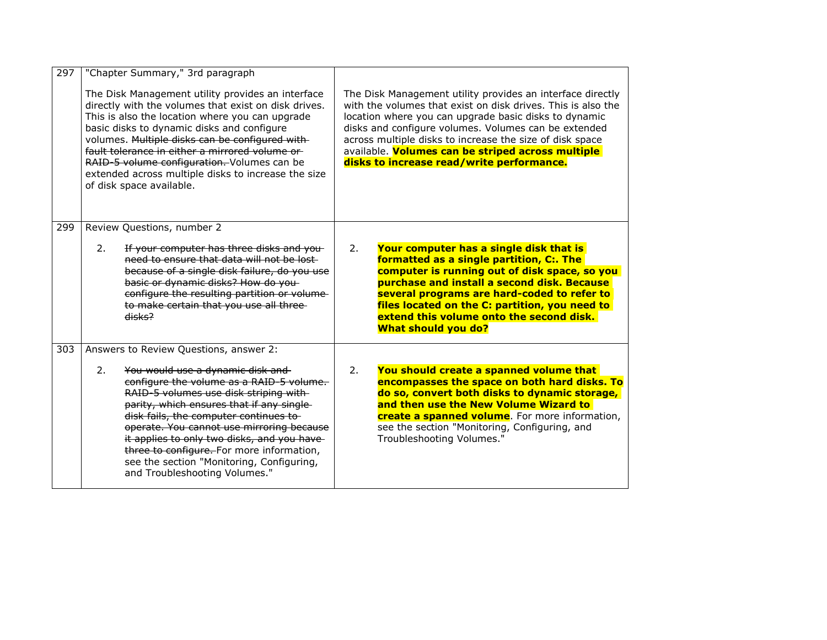| 297 | "Chapter Summary," 3rd paragraph<br>The Disk Management utility provides an interface<br>directly with the volumes that exist on disk drives.<br>This is also the location where you can upgrade<br>basic disks to dynamic disks and configure<br>volumes. Multiple disks can be configured with-<br>fault tolerance in either a mirrored volume or<br>RAID-5 volume configuration. Volumes can be<br>extended across multiple disks to increase the size<br>of disk space available. | The Disk Management utility provides an interface directly<br>with the volumes that exist on disk drives. This is also the<br>location where you can upgrade basic disks to dynamic<br>disks and configure volumes. Volumes can be extended<br>across multiple disks to increase the size of disk space<br>available. Volumes can be striped across multiple<br>disks to increase read/write performance. |
|-----|---------------------------------------------------------------------------------------------------------------------------------------------------------------------------------------------------------------------------------------------------------------------------------------------------------------------------------------------------------------------------------------------------------------------------------------------------------------------------------------|-----------------------------------------------------------------------------------------------------------------------------------------------------------------------------------------------------------------------------------------------------------------------------------------------------------------------------------------------------------------------------------------------------------|
| 299 | Review Questions, number 2<br>If your computer has three disks and you-<br>2.<br>need to ensure that data will not be lost-<br>because of a single disk failure, do you use<br>basic or dynamic disks? How do you-<br>configure the resulting partition or volume-<br>to make certain that you use all three-<br>disks <sup>2</sup>                                                                                                                                                   | Your computer has a single disk that is<br>2.<br>formatted as a single partition, C:. The<br>computer is running out of disk space, so you<br>purchase and install a second disk. Because<br>several programs are hard-coded to refer to<br>files located on the C: partition, you need to<br>extend this volume onto the second disk.<br><b>What should you do?</b>                                      |
| 303 | Answers to Review Questions, answer 2:<br>2.<br>You would use a dynamic disk and<br>configure the volume as a RAID-5 volume.<br>RAID-5 volumes use disk striping with-<br>parity, which ensures that if any single-<br>disk fails, the computer continues to-<br>operate. You cannot use mirroring because<br>it applies to only two disks, and you have<br>three to configure. For more information,<br>see the section "Monitoring, Configuring,<br>and Troubleshooting Volumes."   | 2.<br>You should create a spanned volume that<br>encompasses the space on both hard disks. To<br>do so, convert both disks to dynamic storage,<br>and then use the New Volume Wizard to<br>create a spanned volume. For more information,<br>see the section "Monitoring, Configuring, and<br>Troubleshooting Volumes."                                                                                   |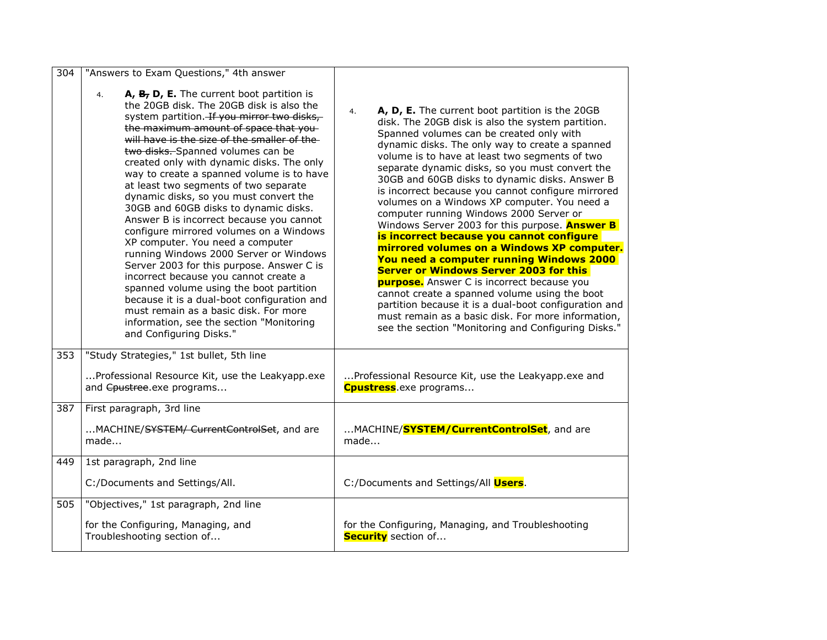| 304 | "Answers to Exam Questions," 4th answer                                                                                                                                                                                                                                                                                                                                                                                                                                                                                                                                                                                                                                                                                                                                                                                                                                                                                                                            |                                                                                                                                                                                                                                                                                                                                                                                                                                                                                                                                                                                                                                                                                                                                                                                                                                                                                                                                                                                                                                         |
|-----|--------------------------------------------------------------------------------------------------------------------------------------------------------------------------------------------------------------------------------------------------------------------------------------------------------------------------------------------------------------------------------------------------------------------------------------------------------------------------------------------------------------------------------------------------------------------------------------------------------------------------------------------------------------------------------------------------------------------------------------------------------------------------------------------------------------------------------------------------------------------------------------------------------------------------------------------------------------------|-----------------------------------------------------------------------------------------------------------------------------------------------------------------------------------------------------------------------------------------------------------------------------------------------------------------------------------------------------------------------------------------------------------------------------------------------------------------------------------------------------------------------------------------------------------------------------------------------------------------------------------------------------------------------------------------------------------------------------------------------------------------------------------------------------------------------------------------------------------------------------------------------------------------------------------------------------------------------------------------------------------------------------------------|
|     | A, B, D, E. The current boot partition is<br>4.<br>the 20GB disk. The 20GB disk is also the<br>system partition. If you mirror two disks,<br>the maximum amount of space that you-<br>will have is the size of the smaller of the-<br>two disks. Spanned volumes can be<br>created only with dynamic disks. The only<br>way to create a spanned volume is to have<br>at least two segments of two separate<br>dynamic disks, so you must convert the<br>30GB and 60GB disks to dynamic disks.<br>Answer B is incorrect because you cannot<br>configure mirrored volumes on a Windows<br>XP computer. You need a computer<br>running Windows 2000 Server or Windows<br>Server 2003 for this purpose. Answer C is<br>incorrect because you cannot create a<br>spanned volume using the boot partition<br>because it is a dual-boot configuration and<br>must remain as a basic disk. For more<br>information, see the section "Monitoring<br>and Configuring Disks." | A, D, E. The current boot partition is the 20GB<br>4.<br>disk. The 20GB disk is also the system partition.<br>Spanned volumes can be created only with<br>dynamic disks. The only way to create a spanned<br>volume is to have at least two segments of two<br>separate dynamic disks, so you must convert the<br>30GB and 60GB disks to dynamic disks. Answer B<br>is incorrect because you cannot configure mirrored<br>volumes on a Windows XP computer. You need a<br>computer running Windows 2000 Server or<br>Windows Server 2003 for this purpose. Answer B<br>is incorrect because you cannot configure<br>mirrored volumes on a Windows XP computer.<br>You need a computer running Windows 2000<br><b>Server or Windows Server 2003 for this</b><br><b>purpose.</b> Answer C is incorrect because you<br>cannot create a spanned volume using the boot<br>partition because it is a dual-boot configuration and<br>must remain as a basic disk. For more information,<br>see the section "Monitoring and Configuring Disks." |
| 353 | "Study Strategies," 1st bullet, 5th line                                                                                                                                                                                                                                                                                                                                                                                                                                                                                                                                                                                                                                                                                                                                                                                                                                                                                                                           |                                                                                                                                                                                                                                                                                                                                                                                                                                                                                                                                                                                                                                                                                                                                                                                                                                                                                                                                                                                                                                         |
|     | Professional Resource Kit, use the Leakyapp.exe<br>and Cpustree.exe programs                                                                                                                                                                                                                                                                                                                                                                                                                                                                                                                                                                                                                                                                                                                                                                                                                                                                                       | Professional Resource Kit, use the Leakyapp.exe and<br><b>Cpustress</b> .exe programs                                                                                                                                                                                                                                                                                                                                                                                                                                                                                                                                                                                                                                                                                                                                                                                                                                                                                                                                                   |
| 387 | First paragraph, 3rd line                                                                                                                                                                                                                                                                                                                                                                                                                                                                                                                                                                                                                                                                                                                                                                                                                                                                                                                                          |                                                                                                                                                                                                                                                                                                                                                                                                                                                                                                                                                                                                                                                                                                                                                                                                                                                                                                                                                                                                                                         |
|     | MACHINE/SYSTEM/ CurrentControlSet, and are<br>made                                                                                                                                                                                                                                                                                                                                                                                                                                                                                                                                                                                                                                                                                                                                                                                                                                                                                                                 | MACHINE/ <b>SYSTEM/CurrentControlSet</b> , and are<br>made                                                                                                                                                                                                                                                                                                                                                                                                                                                                                                                                                                                                                                                                                                                                                                                                                                                                                                                                                                              |
| 449 | 1st paragraph, 2nd line                                                                                                                                                                                                                                                                                                                                                                                                                                                                                                                                                                                                                                                                                                                                                                                                                                                                                                                                            |                                                                                                                                                                                                                                                                                                                                                                                                                                                                                                                                                                                                                                                                                                                                                                                                                                                                                                                                                                                                                                         |
|     | C:/Documents and Settings/All.                                                                                                                                                                                                                                                                                                                                                                                                                                                                                                                                                                                                                                                                                                                                                                                                                                                                                                                                     | C:/Documents and Settings/All Users.                                                                                                                                                                                                                                                                                                                                                                                                                                                                                                                                                                                                                                                                                                                                                                                                                                                                                                                                                                                                    |
| 505 | "Objectives," 1st paragraph, 2nd line                                                                                                                                                                                                                                                                                                                                                                                                                                                                                                                                                                                                                                                                                                                                                                                                                                                                                                                              |                                                                                                                                                                                                                                                                                                                                                                                                                                                                                                                                                                                                                                                                                                                                                                                                                                                                                                                                                                                                                                         |
|     | for the Configuring, Managing, and<br>Troubleshooting section of                                                                                                                                                                                                                                                                                                                                                                                                                                                                                                                                                                                                                                                                                                                                                                                                                                                                                                   | for the Configuring, Managing, and Troubleshooting<br><b>Security</b> section of                                                                                                                                                                                                                                                                                                                                                                                                                                                                                                                                                                                                                                                                                                                                                                                                                                                                                                                                                        |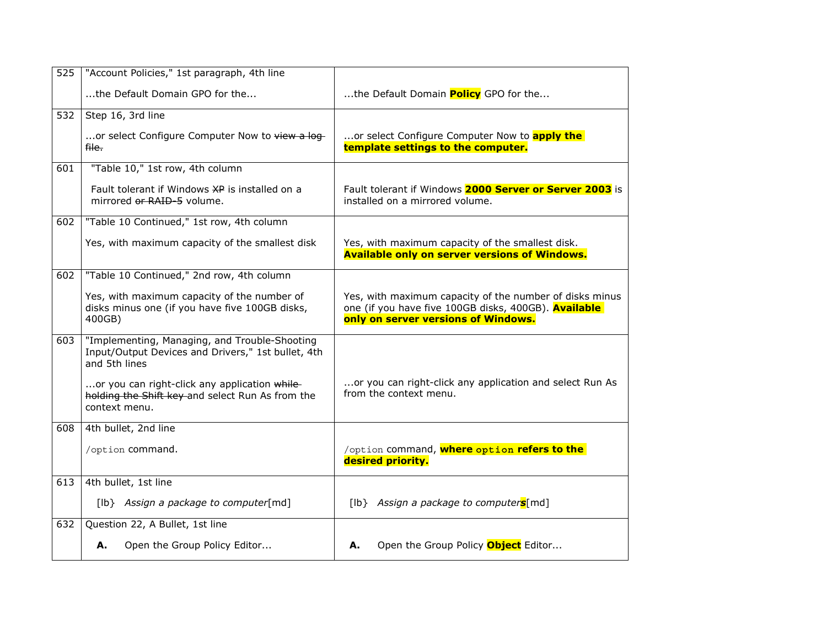| 525 | "Account Policies," 1st paragraph, 4th line                                                                          |                                                                                                                                                        |
|-----|----------------------------------------------------------------------------------------------------------------------|--------------------------------------------------------------------------------------------------------------------------------------------------------|
|     | the Default Domain GPO for the                                                                                       | the Default Domain <b>Policy</b> GPO for the                                                                                                           |
| 532 | Step 16, 3rd line                                                                                                    |                                                                                                                                                        |
|     | or select Configure Computer Now to view a log-<br>file.                                                             | or select Configure Computer Now to apply the<br>template settings to the computer.                                                                    |
| 601 | "Table 10," 1st row, 4th column                                                                                      |                                                                                                                                                        |
|     | Fault tolerant if Windows XP is installed on a<br>mirrored or RAID 5 volume.                                         | Fault tolerant if Windows 2000 Server or Server 2003 is<br>installed on a mirrored volume.                                                             |
| 602 | "Table 10 Continued," 1st row, 4th column                                                                            |                                                                                                                                                        |
|     | Yes, with maximum capacity of the smallest disk                                                                      | Yes, with maximum capacity of the smallest disk.<br><b>Available only on server versions of Windows.</b>                                               |
| 602 | "Table 10 Continued," 2nd row, 4th column                                                                            |                                                                                                                                                        |
|     | Yes, with maximum capacity of the number of<br>disks minus one (if you have five 100GB disks,<br>400GB)              | Yes, with maximum capacity of the number of disks minus<br>one (if you have five 100GB disks, 400GB). Available<br>only on server versions of Windows. |
| 603 | "Implementing, Managing, and Trouble-Shooting<br>Input/Output Devices and Drivers," 1st bullet, 4th<br>and 5th lines |                                                                                                                                                        |
|     | or you can right-click any application while<br>holding the Shift key and select Run As from the<br>context menu.    | or you can right-click any application and select Run As<br>from the context menu.                                                                     |
| 608 | 4th bullet, 2nd line                                                                                                 |                                                                                                                                                        |
|     | /option command.                                                                                                     | /option command, where option refers to the<br>desired priority.                                                                                       |
| 613 | 4th bullet, 1st line                                                                                                 |                                                                                                                                                        |
|     | [lb} Assign a package to computer[md]                                                                                | [lb} Assign a package to computers[md]                                                                                                                 |
| 632 | Question 22, A Bullet, 1st line                                                                                      |                                                                                                                                                        |
|     | Open the Group Policy Editor<br>А.                                                                                   | Open the Group Policy <b>Object</b> Editor<br>А.                                                                                                       |